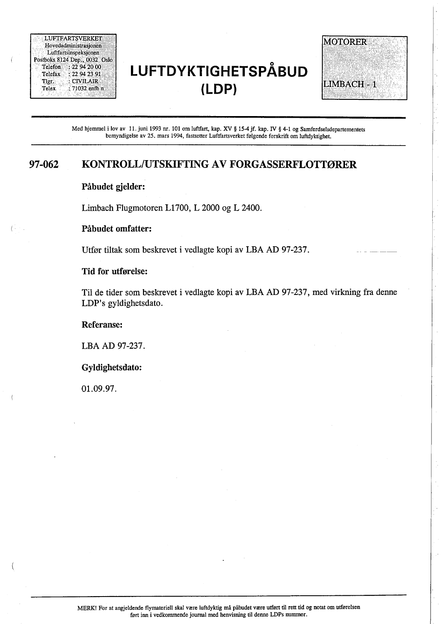

 $(1 + 1)$ 

# LUFTDYKTIGHETSPÅBUD (LDP)



Med hjemmel i lov av 11. juni 1993 nr. 101 om luftfart, kap. XV § 15-4 jf. kap. IV § 4-1 og Samferdselsdepartementets bemyndigelse av 25. mars 1994, fastsetter Luftfartsverket følgende forskrift om luftdyktighet.

## 97-062 KONTROLL/UTSKIFTING AV FORGASSERFLOTTØRER

## Påbudet gjelder:

Limbach Flugmotoren L1700, L 2000 og L 2400.

## Påbudet omfatter:

Utfør tiltak som beskrevet i vedlagte kopi av LBA AD 97-237.

## Tid for utførelse:

Til de tider som beskrevet i vedlagte kopi av LBA AD 97-237, med virkning fra denne LDP's gyldighetsdato.

## Referanse:

LBA AD 97-237.

## Gyldighetsdato:

01.09.97.